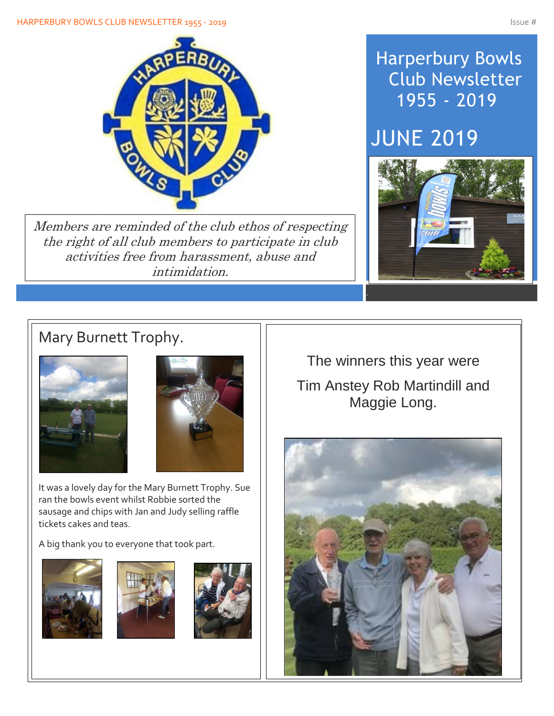#### HARPERBURY BOWLS CLUB NEWSLETTER 1955 - 2019 ISSUE # 1975 - 2019



Members are reminded of the club ethos of respecting the right of all club members to participate in club activities free from harassment, abuse and intimidation.

# Harperbury Bowls Club Newsletter 1955 - 2019

# JUNE 2019



### Mary Burnett Trophy.





It was a lovely day for the Mary Burnett Trophy. Sue ran the bowls event whilst Robbie sorted the sausage and chips with Jan and Judy selling raffle tickets cakes and teas.

A big thank you to everyone that took part.







The winners this year were Tim Anstey Rob Martindill and Maggie Long.

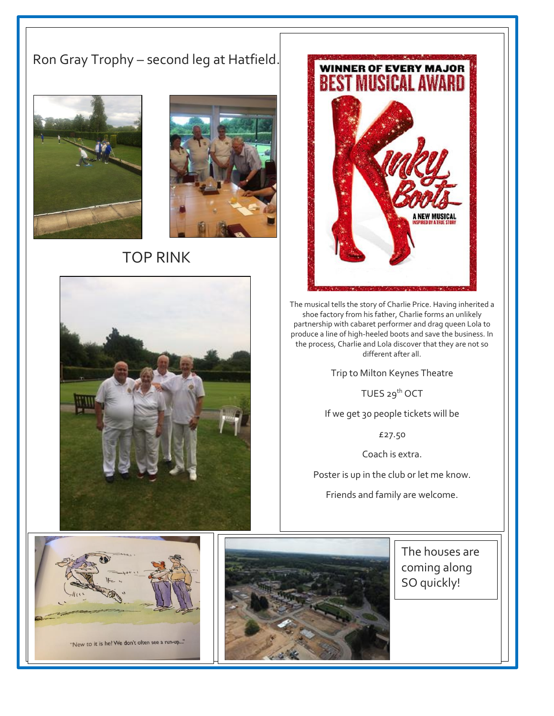#### Ron Gray Trophy – second leg at Hatfield.



Í



#### TOP RINK





The musical tells the story of Charlie Price. Having inherited a shoe factory from his father, Charlie forms an unlikely partnership with cabaret performer and drag queen Lola to produce a line of high-heeled boots and save the business. In the process, Charlie and Lola discover that they are not so different after all.

Trip to Milton Keynes Theatre

TUES 29<sup>th</sup> OCT

If we get 30 people tickets will be

£27.50

Coach is extra.

Poster is up in the club or let me know.

Friends and family are welcome.



 $\overline{a}$ 



The houses are coming along SO quickly!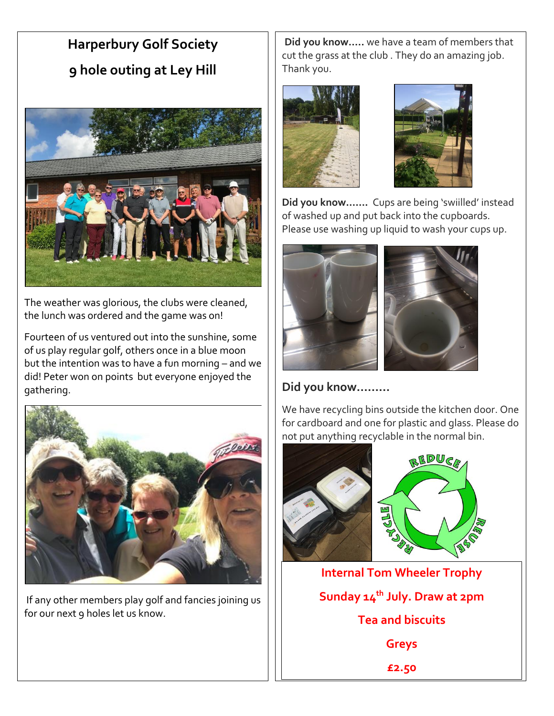# **Harperbury Golf Society 9 hole outing at Ley Hill**



The weather was glorious, the clubs were cleaned, the lunch was ordered and the game was on!

Fourteen of us ventured out into the sunshine, some of us play regular golf, others once in a blue moon but the intention was to have a fun morning – and we did! Peter won on points but everyone enjoyed the gathering.



If any other members play golf and fancies joining us for our next 9 holes let us know.

**Did you know…..** we have a team of members that cut the grass at the club . They do an amazing job. Thank you.





**Did you know…….** Cups are being 'swiilled' instead of washed up and put back into the cupboards. Please use washing up liquid to wash your cups up.



**Did you know………**

We have recycling bins outside the kitchen door. One for cardboard and one for plastic and glass. Please do not put anything recyclable in the normal bin.



**Internal Tom Wheeler Trophy Sunday 14th July. Draw at 2pm Tea and biscuits Greys £2.50**